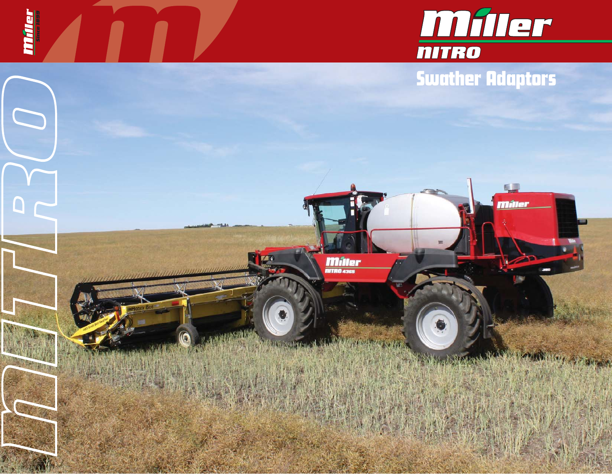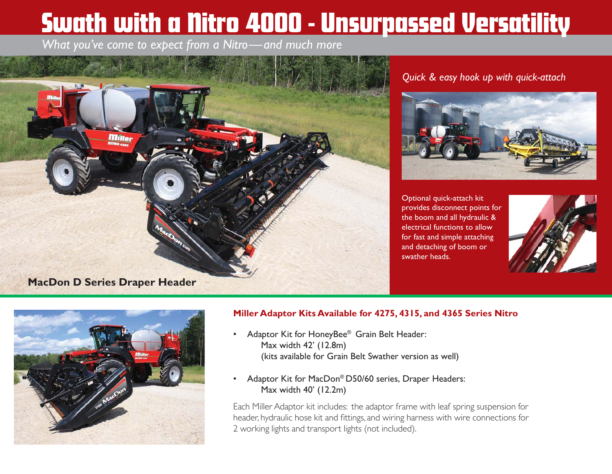# Swath with a Nitro 4000 - Unsurpassed Versatility

*What you've come to expect from a Nitro—and much more*



### *Quick & easy hook up with quick-attach*



Optional quick-attach kit provides disconnect points for the boom and all hydraulic & electrical functions to allow for fast and simple attaching and detaching of boom or swather heads.





#### **Miller Adaptor Kits Available for 4275, 4315, and 4365 Series Nitro**

- $\bullet$  Adaptor Kit for HoneyBee® Grain Belt Header: Max width 42' (12.8m) (kits available for Grain Belt Swather version as well)
- $\bullet$  Adaptor Kit for MacDon® D50/60 series, Draper Headers: Max width 40' (12.2m)

Each Miller Adaptor kit includes: the adaptor frame with leaf spring suspension for header, hydraulic hose kit and fittings, and wiring harness with wire connections for 2 working lights and transport lights (not included).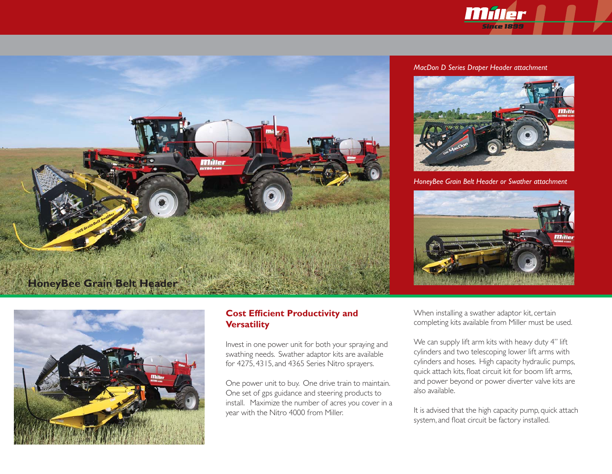



#### *MacDon D Series Draper Header attachment*



*HoneyBee Grain Belt Header or Swather attachment*





#### **Cost Efficient Productivity and Versatility**

Invest in one power unit for both your spraying and swathing needs. Swather adaptor kits are available for 4275, 4315, and 4365 Series Nitro sprayers.

One power unit to buy. One drive train to maintain. One set of gps guidance and steering products to install. Maximize the number of acres you cover in a year with the Nitro 4000 from Miller.

When installing a swather adaptor kit, certain completing kits available from Miller must be used.

We can supply lift arm kits with heavy duty 4" lift cylinders and two telescoping lower lift arms with cylinders and hoses. High capacity hydraulic pumps, quick attach kits, float circuit kit for boom lift arms, and power beyond or power diverter valve kits are also available.

It is advised that the high capacity pump, quick attach system, and float circuit be factory installed.